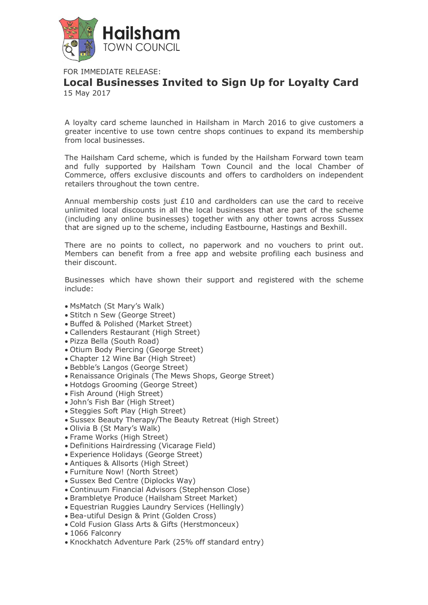

FOR IMMEDIATE RELEASE:

**Local Businesses Invited to Sign Up for Loyalty Card** 15 May 2017

A loyalty card scheme launched in Hailsham in March 2016 to give customers a greater incentive to use town centre shops continues to expand its membership from local businesses.

The Hailsham Card scheme, which is funded by the Hailsham Forward town team and fully supported by Hailsham Town Council and the local Chamber of Commerce, offers exclusive discounts and offers to cardholders on independent retailers throughout the town centre.

Annual membership costs just  $£10$  and cardholders can use the card to receive unlimited local discounts in all the local businesses that are part of the scheme (including any online businesses) together with any other towns across Sussex that are signed up to the scheme, including Eastbourne, Hastings and Bexhill.

There are no points to collect, no paperwork and no vouchers to print out. Members can benefit from a free app and website profiling each business and their discount.

Businesses which have shown their support and registered with the scheme include:

- MsMatch (St Mary's Walk)
- Stitch n Sew (George Street)
- Buffed & Polished (Market Street)
- Callenders Restaurant (High Street)
- Pizza Bella (South Road)
- Otium Body Piercing (George Street)
- Chapter 12 Wine Bar (High Street)
- Bebble's Langos (George Street)
- Renaissance Originals (The Mews Shops, George Street)
- Hotdogs Grooming (George Street)
- Fish Around (High Street)
- John's Fish Bar (High Street)
- Steggies Soft Play (High Street)
- Sussex Beauty Therapy/The Beauty Retreat (High Street)
- Olivia B (St Mary's Walk)
- Frame Works (High Street)
- Definitions Hairdressing (Vicarage Field)
- Experience Holidays (George Street)
- Antiques & Allsorts (High Street)
- Furniture Now! (North Street)
- Sussex Bed Centre (Diplocks Way)
- Continuum Financial Advisors (Stephenson Close)
- Brambletye Produce (Hailsham Street Market)
- Equestrian Ruggies Laundry Services (Hellingly)
- Bea-utiful Design & Print (Golden Cross)
- Cold Fusion Glass Arts & Gifts (Herstmonceux)
- 1066 Falconry
- Knockhatch Adventure Park (25% off standard entry)